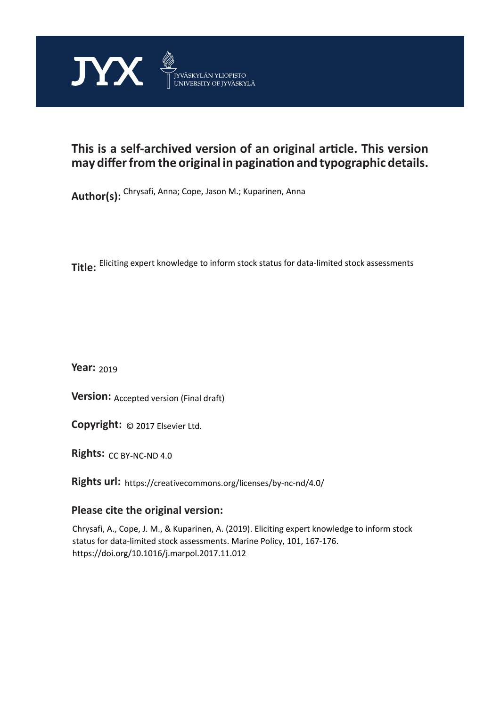

## **This is a self-archived version of an original article. This version may differ from the original in pagination and typographic details.**

**Author(s):**  Chrysafi, Anna; Cope, Jason M.; Kuparinen, Anna

**Title:**  Eliciting expert knowledge to inform stock status for data-limited stock assessments

**Year:**  2019

**Version: Accepted version (Final draft)** 

**Version:** Accepted version (Final draft)<br>**Copyright:** © 2017 Elsevier Ltd.

**Rights:** CC BY-NC-ND 4.0

**Rights url:**  https://creativecommons.org/licenses/by-nc-nd/4.0/

## **Please cite the original version:**

Chrysafi, A., Cope, J. M., & Kuparinen, A. (2019). Eliciting expert knowledge to inform stock status for data-limited stock assessments. Marine Policy, 101, 167-176. https://doi.org/10.1016/j.marpol.2017.11.012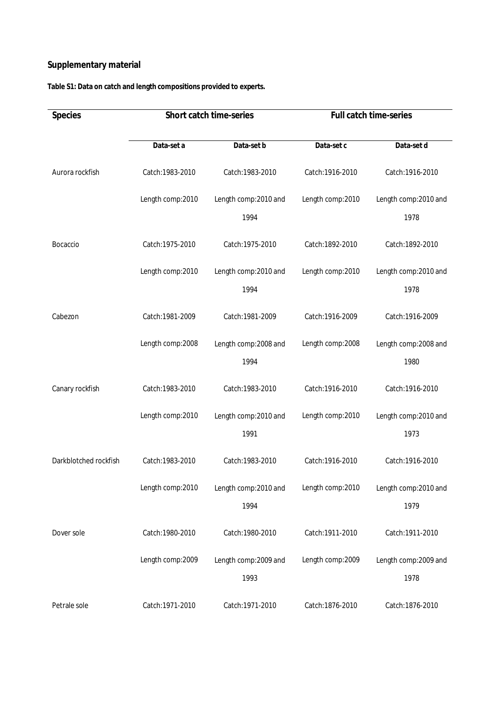## **Supplementary material**

**Table S1: Data on catch and length compositions provided to experts.**

| Species               | Short catch time-series |                       | Full catch time-series |                       |
|-----------------------|-------------------------|-----------------------|------------------------|-----------------------|
|                       | Data-set a              | Data-set b            | Data-set c             | Data-set d            |
| Aurora rockfish       | Catch: 1983-2010        | Catch: 1983-2010      | Catch: 1916-2010       | Catch: 1916-2010      |
|                       | Length comp: 2010       | Length comp: 2010 and | Length comp:2010       | Length comp: 2010 and |
|                       |                         | 1994                  |                        | 1978                  |
| Bocaccio              | Catch: 1975-2010        | Catch: 1975-2010      | Catch: 1892-2010       | Catch: 1892-2010      |
|                       | Length comp:2010        | Length comp: 2010 and | Length comp:2010       | Length comp: 2010 and |
|                       |                         | 1994                  |                        | 1978                  |
| Cabezon               | Catch: 1981-2009        | Catch: 1981-2009      | Catch: 1916-2009       | Catch: 1916-2009      |
|                       | Length comp:2008        | Length comp: 2008 and | Length comp:2008       | Length comp: 2008 and |
|                       |                         | 1994                  |                        | 1980                  |
| Canary rockfish       | Catch: 1983-2010        | Catch: 1983-2010      | Catch: 1916-2010       | Catch: 1916-2010      |
|                       | Length comp:2010        | Length comp: 2010 and | Length comp:2010       | Length comp: 2010 and |
|                       |                         | 1991                  |                        | 1973                  |
| Darkblotched rockfish | Catch: 1983-2010        | Catch: 1983-2010      | Catch: 1916-2010       | Catch: 1916-2010      |
|                       | Length comp:2010        | Length comp: 2010 and | Length comp:2010       | Length comp: 2010 and |
|                       |                         | 1994                  |                        | 1979                  |
| Dover sole            | Catch: 1980-2010        | Catch: 1980-2010      | Catch: 1911-2010       | Catch: 1911-2010      |
|                       | Length comp: 2009       | Length comp:2009 and  | Length comp: 2009      | Length comp: 2009 and |
|                       |                         | 1993                  |                        | 1978                  |
| Petrale sole          | Catch: 1971-2010        | Catch: 1971-2010      | Catch: 1876-2010       | Catch: 1876-2010      |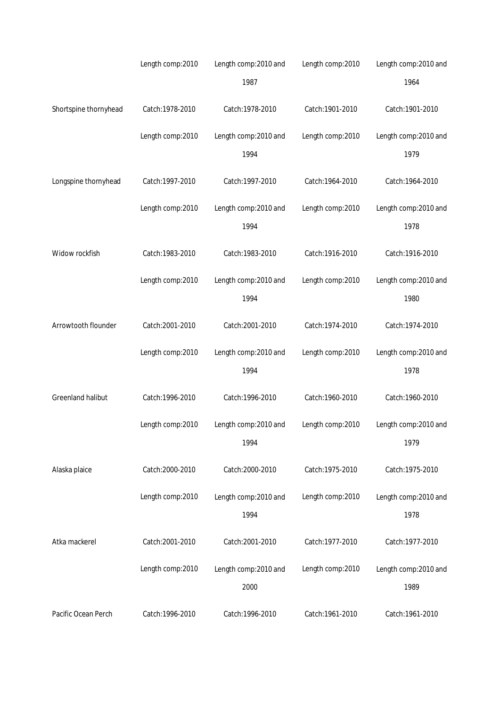|                       | Length comp:2010  | Length comp: 2010 and | Length comp:2010  | Length comp: 2010 and |
|-----------------------|-------------------|-----------------------|-------------------|-----------------------|
|                       |                   | 1987                  |                   | 1964                  |
| Shortspine thornyhead | Catch: 1978-2010  | Catch: 1978-2010      | Catch: 1901-2010  | Catch: 1901-2010      |
|                       | Length comp:2010  | Length comp: 2010 and | Length comp:2010  | Length comp: 2010 and |
|                       |                   | 1994                  |                   | 1979                  |
| Longspine thornyhead  | Catch: 1997-2010  | Catch: 1997-2010      | Catch: 1964-2010  | Catch: 1964-2010      |
|                       | Length comp:2010  | Length comp: 2010 and | Length comp:2010  | Length comp: 2010 and |
|                       |                   | 1994                  |                   | 1978                  |
| Widow rockfish        | Catch: 1983-2010  | Catch: 1983-2010      | Catch: 1916-2010  | Catch: 1916-2010      |
|                       | Length comp: 2010 | Length comp: 2010 and | Length comp: 2010 | Length comp: 2010 and |
|                       |                   | 1994                  |                   | 1980                  |
| Arrowtooth flounder   | Catch: 2001-2010  | Catch: 2001-2010      | Catch: 1974-2010  | Catch: 1974-2010      |
|                       | Length comp:2010  | Length comp: 2010 and | Length comp:2010  | Length comp: 2010 and |
|                       |                   | 1994                  |                   | 1978                  |
| Greenland halibut     | Catch: 1996-2010  | Catch: 1996-2010      | Catch: 1960-2010  | Catch: 1960-2010      |
|                       | Length comp:2010  | Length comp: 2010 and | Length comp:2010  | Length comp: 2010 and |
|                       |                   | 1994                  |                   | 1979                  |
| Alaska plaice         | Catch: 2000-2010  | Catch: 2000-2010      | Catch: 1975-2010  | Catch: 1975-2010      |
|                       | Length comp: 2010 | Length comp: 2010 and | Length comp: 2010 | Length comp: 2010 and |
|                       |                   | 1994                  |                   | 1978                  |
| Atka mackerel         | Catch: 2001-2010  | Catch: 2001-2010      | Catch: 1977-2010  | Catch: 1977-2010      |
|                       | Length comp:2010  | Length comp:2010 and  | Length comp:2010  | Length comp: 2010 and |
|                       |                   | 2000                  |                   | 1989                  |
| Pacific Ocean Perch   | Catch: 1996-2010  | Catch: 1996-2010      | Catch: 1961-2010  | Catch: 1961-2010      |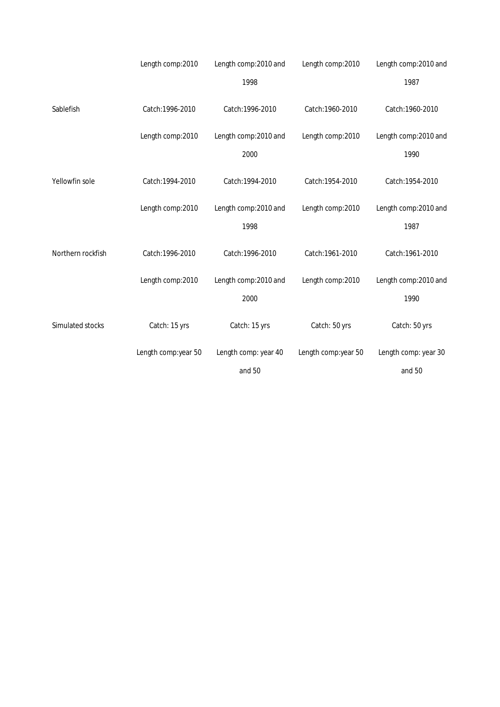|                   | Length comp:2010    | Length comp: 2010 and | Length comp:2010    | Length comp: 2010 and |
|-------------------|---------------------|-----------------------|---------------------|-----------------------|
|                   |                     | 1998                  |                     | 1987                  |
| Sablefish         | Catch: 1996-2010    | Catch: 1996-2010      | Catch: 1960-2010    | Catch: 1960-2010      |
|                   | Length comp:2010    | Length comp:2010 and  | Length comp:2010    | Length comp:2010 and  |
|                   |                     | 2000                  |                     | 1990                  |
| Yellowfin sole    | Catch: 1994-2010    | Catch: 1994-2010      | Catch: 1954-2010    | Catch: 1954-2010      |
|                   | Length comp:2010    | Length comp: 2010 and | Length comp: 2010   | Length comp: 2010 and |
|                   |                     | 1998                  |                     | 1987                  |
| Northern rockfish | Catch: 1996-2010    | Catch: 1996-2010      | Catch: 1961-2010    | Catch: 1961-2010      |
|                   | Length comp:2010    | Length comp: 2010 and | Length comp:2010    | Length comp: 2010 and |
|                   |                     | 2000                  |                     | 1990                  |
| Simulated stocks  | Catch: 15 yrs       | Catch: 15 yrs         | Catch: 50 yrs       | Catch: 50 yrs         |
|                   | Length comp:year 50 | Length comp: year 40  | Length comp:year 50 | Length comp: year 30  |
|                   |                     | and 50                |                     | and 50                |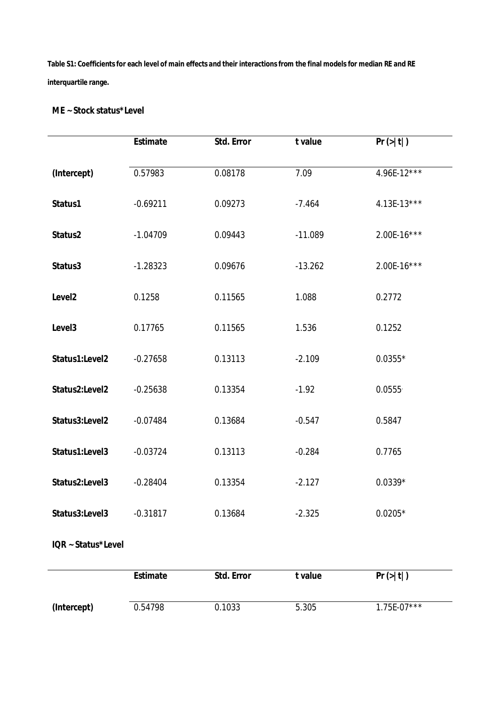**Table S1: Coefficients for each level of main effects and their interactions from the final models for median RE and RE interquartile range.**

## **ME ~ Stock status\*Level**

|                    | Estimate   | Std. Error | t value   | Pr(> t )    |
|--------------------|------------|------------|-----------|-------------|
| (Intercept)        | 0.57983    | 0.08178    | 7.09      | 4.96E-12*** |
| Status1            | $-0.69211$ | 0.09273    | $-7.464$  | 4.13E-13*** |
| Status2            | $-1.04709$ | 0.09443    | $-11.089$ | 2.00E-16*** |
| Status3            | $-1.28323$ | 0.09676    | $-13.262$ | 2.00E-16*** |
| Level <sub>2</sub> | 0.1258     | 0.11565    | 1.088     | 0.2772      |
| Level3             | 0.17765    | 0.11565    | 1.536     | 0.1252      |
| Status1:Level2     | $-0.27658$ | 0.13113    | $-2.109$  | $0.0355*$   |
| Status2:Level2     | $-0.25638$ | 0.13354    | $-1.92$   | 0.0555      |
| Status3:Level2     | $-0.07484$ | 0.13684    | $-0.547$  | 0.5847      |
| Status1:Level3     | $-0.03724$ | 0.13113    | $-0.284$  | 0.7765      |
| Status2:Level3     | $-0.28404$ | 0.13354    | $-2.127$  | $0.0339*$   |
| Status3:Level3     | $-0.31817$ | 0.13684    | $-2.325$  | $0.0205*$   |
| IQR ~ Status*Level |            |            |           |             |

|             | Estimate | Std. Error | t value- | Pr(> t )      |
|-------------|----------|------------|----------|---------------|
| (Intercept) | 0.54798  | 0.1033     | 5.305    | $1.75E-07***$ |